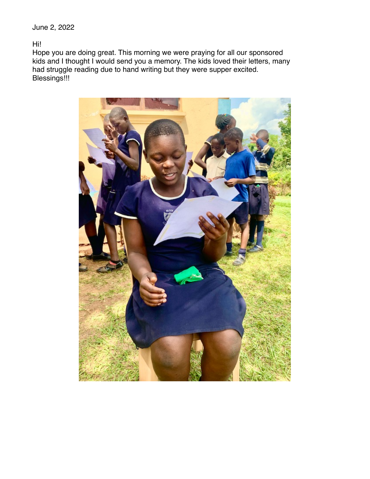June 2, 2022

Hi!

Hope you are doing great. This morning we were praying for all our sponsored kids and I thought I would send you a memory. The kids loved their letters, many had struggle reading due to hand writing but they were supper excited. Blessings!!!

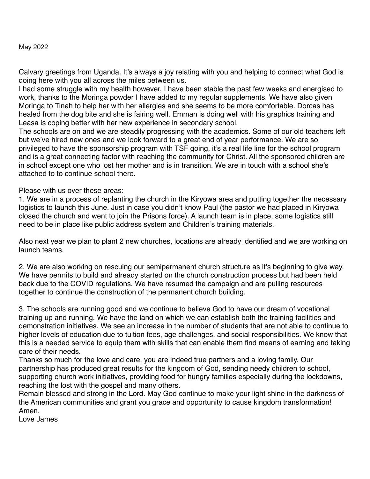## May 2022

Calvary greetings from Uganda. It's always a joy relating with you and helping to connect what God is doing here with you all across the miles between us.

I had some struggle with my health however, I have been stable the past few weeks and energised to work, thanks to the Moringa powder I have added to my regular supplements. We have also given Moringa to Tinah to help her with her allergies and she seems to be more comfortable. Dorcas has healed from the dog bite and she is fairing well. Emman is doing well with his graphics training and Leasa is coping better with her new experience in secondary school.

The schools are on and we are steadily progressing with the academics. Some of our old teachers left but we've hired new ones and we look forward to a great end of year performance. We are so privileged to have the sponsorship program with TSF going, it's a real life line for the school program and is a great connecting factor with reaching the community for Christ. All the sponsored children are in school except one who lost her mother and is in transition. We are in touch with a school she's attached to to continue school there.

Please with us over these areas:

1. We are in a process of replanting the church in the Kiryowa area and putting together the necessary logistics to launch this June. Just in case you didn't know Paul (the pastor we had placed in Kiryowa closed the church and went to join the Prisons force). A launch team is in place, some logistics still need to be in place like public address system and Children's training materials.

Also next year we plan to plant 2 new churches, locations are already identified and we are working on launch teams.

2. We are also working on rescuing our semipermanent church structure as it's beginning to give way. We have permits to build and already started on the church construction process but had been held back due to the COVID regulations. We have resumed the campaign and are pulling resources together to continue the construction of the permanent church building.

3. The schools are running good and we continue to believe God to have our dream of vocational training up and running. We have the land on which we can establish both the training facilities and demonstration initiatives. We see an increase in the number of students that are not able to continue to higher levels of education due to tuition fees, age challenges, and social responsibilities. We know that this is a needed service to equip them with skills that can enable them find means of earning and taking care of their needs.

Thanks so much for the love and care, you are indeed true partners and a loving family. Our partnership has produced great results for the kingdom of God, sending needy children to school, supporting church work initiatives, providing food for hungry families especially during the lockdowns, reaching the lost with the gospel and many others.

Remain blessed and strong in the Lord. May God continue to make your light shine in the darkness of the American communities and grant you grace and opportunity to cause kingdom transformation! Amen.

Love James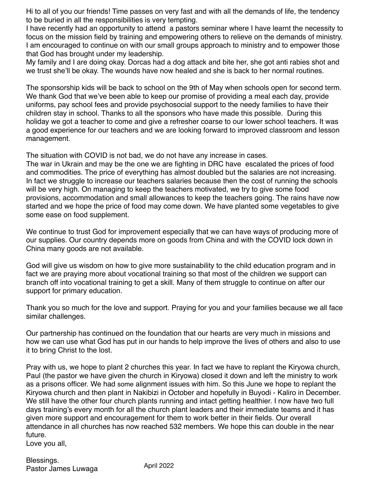Hi to all of you our friends! Time passes on very fast and with all the demands of life, the tendency to be buried in all the responsibilities is very tempting.

I have recently had an opportunity to attend a pastors seminar where I have learnt the necessity to focus on the mission field by training and empowering others to relieve on the demands of ministry. I am encouraged to continue on with our small groups approach to ministry and to empower those that God has brought under my leadership.

My family and I are doing okay. Dorcas had a dog attack and bite her, she got anti rabies shot and we trust she'll be okay. The wounds have now healed and she is back to her normal routines.

The sponsorship kids will be back to school on the 9th of May when schools open for second term. We thank God that we've been able to keep our promise of providing a meal each day, provide uniforms, pay school fees and provide psychosocial support to the needy families to have their children stay in school. Thanks to all the sponsors who have made this possible. During this holiday we got a teacher to come and give a refresher coarse to our lower school teachers. It was a good experience for our teachers and we are looking forward to improved classroom and lesson management.

The situation with COVID is not bad, we do not have any increase in cases.

The war in Ukrain and may be the one we are fighting in DRC have escalated the prices of food and commodities. The price of everything has almost doubled but the salaries are not increasing. In fact we struggle to increase our teachers salaries because then the cost of running the schools will be very high. On managing to keep the teachers motivated, we try to give some food provisions, accommodation and small allowances to keep the teachers going. The rains have now started and we hope the price of food may come down. We have planted some vegetables to give some ease on food supplement.

We continue to trust God for improvement especially that we can have ways of producing more of our supplies. Our country depends more on goods from China and with the COVID lock down in China many goods are not available.

God will give us wisdom on how to give more sustainability to the child education program and in fact we are praying more about vocational training so that most of the children we support can branch off into vocational training to get a skill. Many of them struggle to continue on after our support for primary education.

Thank you so much for the love and support. Praying for you and your families because we all face similar challenges.

Our partnership has continued on the foundation that our hearts are very much in missions and how we can use what God has put in our hands to help improve the lives of others and also to use it to bring Christ to the lost.

Pray with us, we hope to plant 2 churches this year. In fact we have to replant the Kiryowa church, Paul (the pastor we have given the church in Kiryowa) closed it down and left the ministry to work as a prisons officer. We had some alignment issues with him. So this June we hope to replant the Kiryowa church and then plant in Nakibizi in October and hopefully in Buyodi - Kaliro in December. We still have the other four church plants running and intact getting healthier. I now have two full days training's every month for all the church plant leaders and their immediate teams and it has given more support and encouragement for them to work better in their fields. Our overall attendance in all churches has now reached 532 members. We hope this can double in the near future.

Love you all,

Blessings. Pastor James Luwaga Maril 2022